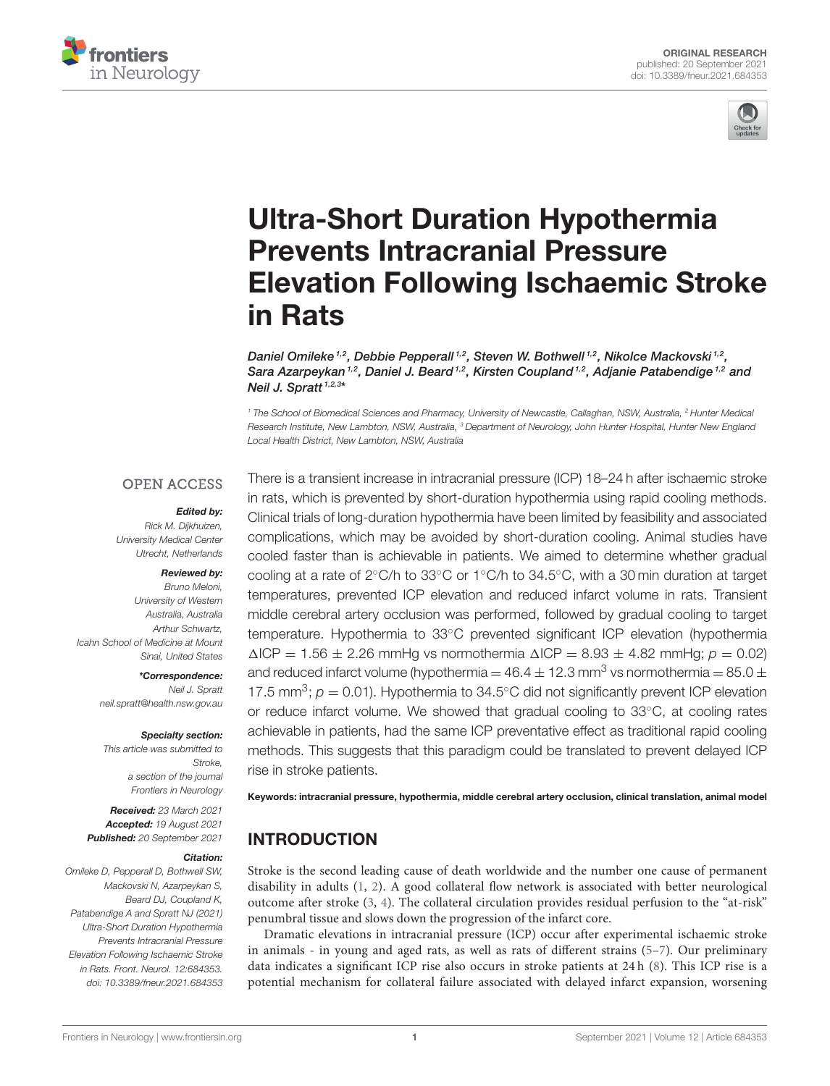



# Ultra-Short Duration Hypothermia Prevents Intracranial Pressure [Elevation Following Ischaemic Stroke](https://www.frontiersin.org/articles/10.3389/fneur.2021.684353/full) in Rats

Daniel Omileke  $1.2$ , Debbie Pepperall  $1.2$ , Steven W. Bothwell  $1.2$ , Nikolce Mackovski  $1.2$ , Sara Azarpeykan<sup>1,2</sup>, Daniel J. Beard<sup>1,2</sup>, Kirsten Coupland<sup>1,2</sup>, Adjanie Patabendige<sup>1,2</sup> and Neil J. Spratt<sup>1,2,3\*</sup>

*<sup>1</sup> The School of Biomedical Sciences and Pharmacy, University of Newcastle, Callaghan, NSW, Australia, <sup>2</sup> Hunter Medical Research Institute, New Lambton, NSW, Australia, <sup>3</sup> Department of Neurology, John Hunter Hospital, Hunter New England Local Health District, New Lambton, NSW, Australia*

#### **OPEN ACCESS**

#### *Edited by:*

*Rick M. Dijkhuizen, University Medical Center Utrecht, Netherlands*

#### *Reviewed by:*

*Bruno Meloni, University of Western Australia, Australia Arthur Schwartz, Icahn School of Medicine at Mount Sinai, United States*

> *\*Correspondence: Neil J. Spratt [neil.spratt@health.nsw.gov.au](mailto:neil.spratt@health.nsw.gov.au)*

#### *Specialty section:*

*This article was submitted to Stroke, a section of the journal Frontiers in Neurology*

*Received: 23 March 2021 Accepted: 19 August 2021 Published: 20 September 2021*

#### *Citation:*

*Omileke D, Pepperall D, Bothwell SW, Mackovski N, Azarpeykan S, Beard DJ, Coupland K, Patabendige A and Spratt NJ (2021) Ultra-Short Duration Hypothermia Prevents Intracranial Pressure Elevation Following Ischaemic Stroke in Rats. Front. Neurol. 12:684353. doi: [10.3389/fneur.2021.684353](https://doi.org/10.3389/fneur.2021.684353)*

There is a transient increase in intracranial pressure (ICP) 18–24 h after ischaemic stroke in rats, which is prevented by short-duration hypothermia using rapid cooling methods. Clinical trials of long-duration hypothermia have been limited by feasibility and associated complications, which may be avoided by short-duration cooling. Animal studies have cooled faster than is achievable in patients. We aimed to determine whether gradual cooling at a rate of 2◦C/h to 33◦C or 1◦C/h to 34.5◦C, with a 30 min duration at target temperatures, prevented ICP elevation and reduced infarct volume in rats. Transient middle cerebral artery occlusion was performed, followed by gradual cooling to target temperature. Hypothermia to 33◦C prevented significant ICP elevation (hypothermia  $\Delta$ ICP = 1.56  $\pm$  2.26 mmHg vs normothermia  $\Delta$ ICP = 8.93  $\pm$  4.82 mmHg;  $p = 0.02$ ) and reduced infarct volume (hypothermia  $=$  46.4  $\pm$  12.3 mm<sup>3</sup> vs normothermia  $=$  85.0  $\pm$ 17.5 mm<sup>3</sup>;  $p = 0.01$ ). Hypothermia to 34.5°C did not significantly prevent ICP elevation or reduce infarct volume. We showed that gradual cooling to 33°C, at cooling rates achievable in patients, had the same ICP preventative effect as traditional rapid cooling methods. This suggests that this paradigm could be translated to prevent delayed ICP rise in stroke patients.

Keywords: intracranial pressure, hypothermia, middle cerebral artery occlusion, clinical translation, animal model

### INTRODUCTION

Stroke is the second leading cause of death worldwide and the number one cause of permanent disability in adults [\(1,](#page-7-0) [2\)](#page-7-1). A good collateral flow network is associated with better neurological outcome after stroke [\(3,](#page-7-2) [4\)](#page-7-3). The collateral circulation provides residual perfusion to the "at-risk" penumbral tissue and slows down the progression of the infarct core.

Dramatic elevations in intracranial pressure (ICP) occur after experimental ischaemic stroke in animals - in young and aged rats, as well as rats of different strains [\(5](#page-7-4)[–7\)](#page-7-5). Our preliminary data indicates a significant ICP rise also occurs in stroke patients at 24 h [\(8\)](#page-7-6). This ICP rise is a potential mechanism for collateral failure associated with delayed infarct expansion, worsening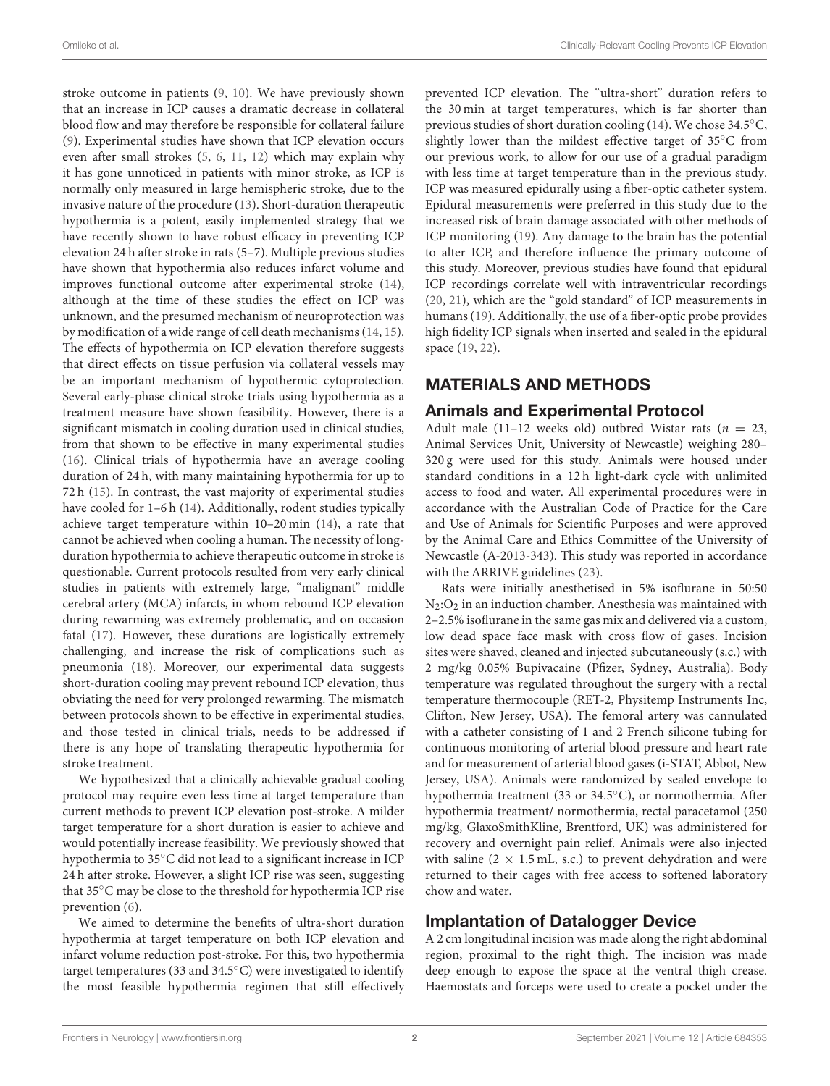stroke outcome in patients [\(9,](#page-7-7) [10\)](#page-7-8). We have previously shown that an increase in ICP causes a dramatic decrease in collateral blood flow and may therefore be responsible for collateral failure [\(9\)](#page-7-7). Experimental studies have shown that ICP elevation occurs even after small strokes [\(5,](#page-7-4) [6,](#page-7-9) [11,](#page-7-10) [12\)](#page-7-11) which may explain why it has gone unnoticed in patients with minor stroke, as ICP is normally only measured in large hemispheric stroke, due to the invasive nature of the procedure [\(13\)](#page-7-12). Short-duration therapeutic hypothermia is a potent, easily implemented strategy that we have recently shown to have robust efficacy in preventing ICP elevation 24 h after stroke in rats (5–7). Multiple previous studies have shown that hypothermia also reduces infarct volume and improves functional outcome after experimental stroke [\(14\)](#page-7-13), although at the time of these studies the effect on ICP was unknown, and the presumed mechanism of neuroprotection was by modification of a wide range of cell death mechanisms [\(14,](#page-7-13) [15\)](#page-7-14). The effects of hypothermia on ICP elevation therefore suggests that direct effects on tissue perfusion via collateral vessels may be an important mechanism of hypothermic cytoprotection. Several early-phase clinical stroke trials using hypothermia as a treatment measure have shown feasibility. However, there is a significant mismatch in cooling duration used in clinical studies, from that shown to be effective in many experimental studies [\(16\)](#page-7-15). Clinical trials of hypothermia have an average cooling duration of 24 h, with many maintaining hypothermia for up to 72 h [\(15\)](#page-7-14). In contrast, the vast majority of experimental studies have cooled for 1-6 h [\(14\)](#page-7-13). Additionally, rodent studies typically achieve target temperature within 10–20 min [\(14\)](#page-7-13), a rate that cannot be achieved when cooling a human. The necessity of longduration hypothermia to achieve therapeutic outcome in stroke is questionable. Current protocols resulted from very early clinical studies in patients with extremely large, "malignant" middle cerebral artery (MCA) infarcts, in whom rebound ICP elevation during rewarming was extremely problematic, and on occasion fatal [\(17\)](#page-7-16). However, these durations are logistically extremely challenging, and increase the risk of complications such as pneumonia [\(18\)](#page-7-17). Moreover, our experimental data suggests short-duration cooling may prevent rebound ICP elevation, thus obviating the need for very prolonged rewarming. The mismatch between protocols shown to be effective in experimental studies, and those tested in clinical trials, needs to be addressed if there is any hope of translating therapeutic hypothermia for stroke treatment.

We hypothesized that a clinically achievable gradual cooling protocol may require even less time at target temperature than current methods to prevent ICP elevation post-stroke. A milder target temperature for a short duration is easier to achieve and would potentially increase feasibility. We previously showed that hypothermia to 35◦C did not lead to a significant increase in ICP 24 h after stroke. However, a slight ICP rise was seen, suggesting that 35◦C may be close to the threshold for hypothermia ICP rise prevention [\(6\)](#page-7-9).

We aimed to determine the benefits of ultra-short duration hypothermia at target temperature on both ICP elevation and infarct volume reduction post-stroke. For this, two hypothermia target temperatures (33 and 34.5◦C) were investigated to identify the most feasible hypothermia regimen that still effectively prevented ICP elevation. The "ultra-short" duration refers to the 30 min at target temperatures, which is far shorter than previous studies of short duration cooling [\(14\)](#page-7-13). We chose 34.5◦C, slightly lower than the mildest effective target of 35◦C from our previous work, to allow for our use of a gradual paradigm with less time at target temperature than in the previous study. ICP was measured epidurally using a fiber-optic catheter system. Epidural measurements were preferred in this study due to the increased risk of brain damage associated with other methods of ICP monitoring [\(19\)](#page-7-18). Any damage to the brain has the potential to alter ICP, and therefore influence the primary outcome of this study. Moreover, previous studies have found that epidural ICP recordings correlate well with intraventricular recordings [\(20,](#page-7-19) [21\)](#page-7-20), which are the "gold standard" of ICP measurements in humans [\(19\)](#page-7-18). Additionally, the use of a fiber-optic probe provides high fidelity ICP signals when inserted and sealed in the epidural space [\(19,](#page-7-18) [22\)](#page-7-21).

# MATERIALS AND METHODS

### Animals and Experimental Protocol

Adult male (11-12 weeks old) outbred Wistar rats ( $n = 23$ , Animal Services Unit, University of Newcastle) weighing 280– 320 g were used for this study. Animals were housed under standard conditions in a 12 h light-dark cycle with unlimited access to food and water. All experimental procedures were in accordance with the Australian Code of Practice for the Care and Use of Animals for Scientific Purposes and were approved by the Animal Care and Ethics Committee of the University of Newcastle (A-2013-343). This study was reported in accordance with the ARRIVE guidelines [\(23\)](#page-7-22).

Rats were initially anesthetised in 5% isoflurane in 50:50  $N_2$ : $O_2$  in an induction chamber. Anesthesia was maintained with 2–2.5% isoflurane in the same gas mix and delivered via a custom, low dead space face mask with cross flow of gases. Incision sites were shaved, cleaned and injected subcutaneously (s.c.) with 2 mg/kg 0.05% Bupivacaine (Pfizer, Sydney, Australia). Body temperature was regulated throughout the surgery with a rectal temperature thermocouple (RET-2, Physitemp Instruments Inc, Clifton, New Jersey, USA). The femoral artery was cannulated with a catheter consisting of 1 and 2 French silicone tubing for continuous monitoring of arterial blood pressure and heart rate and for measurement of arterial blood gases (i-STAT, Abbot, New Jersey, USA). Animals were randomized by sealed envelope to hypothermia treatment (33 or 34.5◦C), or normothermia. After hypothermia treatment/ normothermia, rectal paracetamol (250 mg/kg, GlaxoSmithKline, Brentford, UK) was administered for recovery and overnight pain relief. Animals were also injected with saline  $(2 \times 1.5 \text{ mL}, \text{s.c.})$  to prevent dehydration and were returned to their cages with free access to softened laboratory chow and water.

# Implantation of Datalogger Device

A 2 cm longitudinal incision was made along the right abdominal region, proximal to the right thigh. The incision was made deep enough to expose the space at the ventral thigh crease. Haemostats and forceps were used to create a pocket under the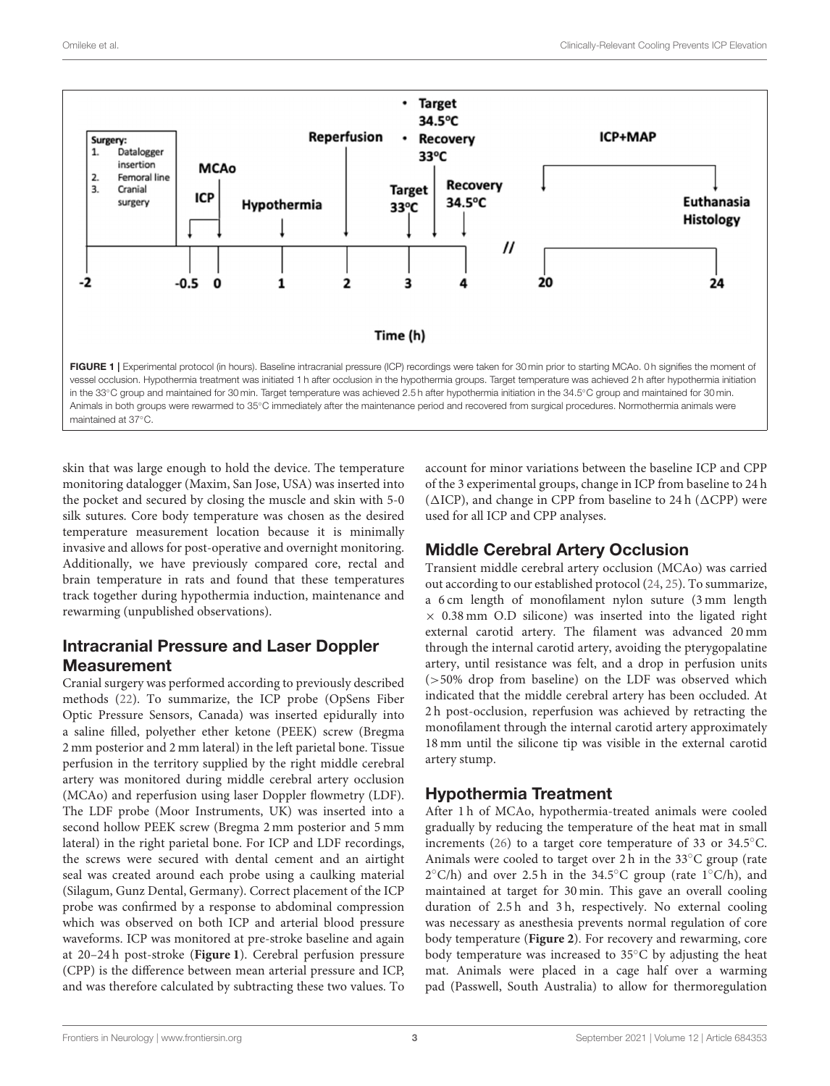

<span id="page-2-0"></span>skin that was large enough to hold the device. The temperature monitoring datalogger (Maxim, San Jose, USA) was inserted into the pocket and secured by closing the muscle and skin with 5-0 silk sutures. Core body temperature was chosen as the desired temperature measurement location because it is minimally invasive and allows for post-operative and overnight monitoring. Additionally, we have previously compared core, rectal and brain temperature in rats and found that these temperatures track together during hypothermia induction, maintenance and rewarming (unpublished observations).

# Intracranial Pressure and Laser Doppler Measurement

Cranial surgery was performed according to previously described methods [\(22\)](#page-7-21). To summarize, the ICP probe (OpSens Fiber Optic Pressure Sensors, Canada) was inserted epidurally into a saline filled, polyether ether ketone (PEEK) screw (Bregma 2 mm posterior and 2 mm lateral) in the left parietal bone. Tissue perfusion in the territory supplied by the right middle cerebral artery was monitored during middle cerebral artery occlusion (MCAo) and reperfusion using laser Doppler flowmetry (LDF). The LDF probe (Moor Instruments, UK) was inserted into a second hollow PEEK screw (Bregma 2 mm posterior and 5 mm lateral) in the right parietal bone. For ICP and LDF recordings, the screws were secured with dental cement and an airtight seal was created around each probe using a caulking material (Silagum, Gunz Dental, Germany). Correct placement of the ICP probe was confirmed by a response to abdominal compression which was observed on both ICP and arterial blood pressure waveforms. ICP was monitored at pre-stroke baseline and again at 20–24 h post-stroke (**[Figure 1](#page-2-0)**). Cerebral perfusion pressure (CPP) is the difference between mean arterial pressure and ICP, and was therefore calculated by subtracting these two values. To account for minor variations between the baseline ICP and CPP of the 3 experimental groups, change in ICP from baseline to 24 h ( $\triangle$ ICP), and change in CPP from baseline to 24 h ( $\triangle$ CPP) were used for all ICP and CPP analyses.

# Middle Cerebral Artery Occlusion

Transient middle cerebral artery occlusion (MCAo) was carried out according to our established protocol [\(24,](#page-7-23) [25\)](#page-7-24). To summarize, a 6 cm length of monofilament nylon suture (3 mm length  $\times$  0.38 mm O.D silicone) was inserted into the ligated right external carotid artery. The filament was advanced 20 mm through the internal carotid artery, avoiding the pterygopalatine artery, until resistance was felt, and a drop in perfusion units (>50% drop from baseline) on the LDF was observed which indicated that the middle cerebral artery has been occluded. At 2 h post-occlusion, reperfusion was achieved by retracting the monofilament through the internal carotid artery approximately 18 mm until the silicone tip was visible in the external carotid artery stump.

# Hypothermia Treatment

After 1 h of MCAo, hypothermia-treated animals were cooled gradually by reducing the temperature of the heat mat in small increments [\(26\)](#page-7-25) to a target core temperature of 33 or 34.5◦C. Animals were cooled to target over 2 h in the 33◦C group (rate 2 ◦C/h) and over 2.5 h in the 34.5◦C group (rate 1◦C/h), and maintained at target for 30 min. This gave an overall cooling duration of 2.5 h and 3 h, respectively. No external cooling was necessary as anesthesia prevents normal regulation of core body temperature (**[Figure 2](#page-3-0)**). For recovery and rewarming, core body temperature was increased to 35◦C by adjusting the heat mat. Animals were placed in a cage half over a warming pad (Passwell, South Australia) to allow for thermoregulation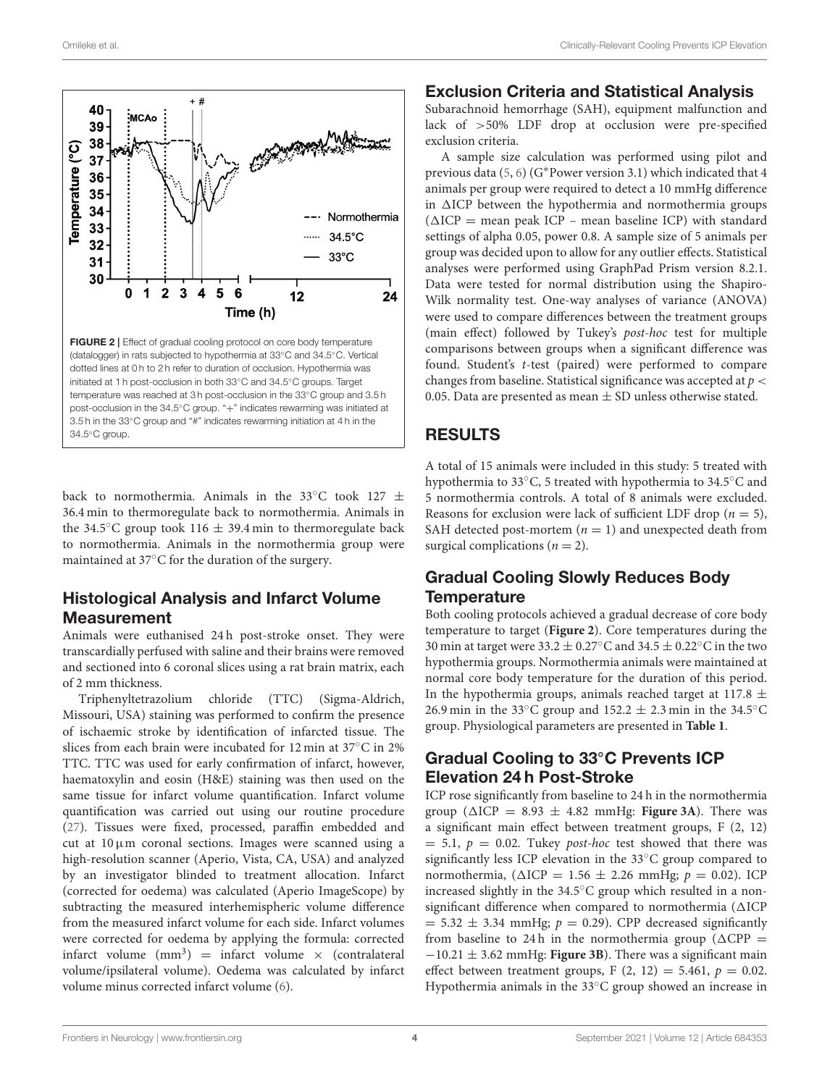

<span id="page-3-0"></span>initiated at 1 h post-occlusion in both 33◦C and 34.5◦C groups. Target temperature was reached at 3 h post-occlusion in the 33℃ group and 3.5 h post-occlusion in the 34.5℃ group. "+" indicates rewarming was initiated at 3.5 h in the 33◦C group and "#" indicates rewarming initiation at 4 h in the 34.5◦C group.

back to normothermia. Animals in the 33°C took 127  $\pm$ 36.4 min to thermoregulate back to normothermia. Animals in the 34.5 $\degree$ C group took 116  $\pm$  39.4 min to thermoregulate back to normothermia. Animals in the normothermia group were maintained at 37◦C for the duration of the surgery.

# Histological Analysis and Infarct Volume **Measurement**

Animals were euthanised 24 h post-stroke onset. They were transcardially perfused with saline and their brains were removed and sectioned into 6 coronal slices using a rat brain matrix, each of 2 mm thickness.

Triphenyltetrazolium chloride (TTC) (Sigma-Aldrich, Missouri, USA) staining was performed to confirm the presence of ischaemic stroke by identification of infarcted tissue. The slices from each brain were incubated for 12 min at 37◦C in 2% TTC. TTC was used for early confirmation of infarct, however, haematoxylin and eosin (H&E) staining was then used on the same tissue for infarct volume quantification. Infarct volume quantification was carried out using our routine procedure [\(27\)](#page-7-26). Tissues were fixed, processed, paraffin embedded and cut at  $10 \mu m$  coronal sections. Images were scanned using a high-resolution scanner (Aperio, Vista, CA, USA) and analyzed by an investigator blinded to treatment allocation. Infarct (corrected for oedema) was calculated (Aperio ImageScope) by subtracting the measured interhemispheric volume difference from the measured infarct volume for each side. Infarct volumes were corrected for oedema by applying the formula: corrected infarct volume  $(mm^3)$  = infarct volume  $\times$  (contralateral volume/ipsilateral volume). Oedema was calculated by infarct volume minus corrected infarct volume [\(6\)](#page-7-9).

### Exclusion Criteria and Statistical Analysis

Subarachnoid hemorrhage (SAH), equipment malfunction and lack of >50% LDF drop at occlusion were pre-specified exclusion criteria.

A sample size calculation was performed using pilot and previous data [\(5,](#page-7-4) [6\)](#page-7-9) (G∗Power version 3.1) which indicated that 4 animals per group were required to detect a 10 mmHg difference in  $\triangle$ ICP between the hypothermia and normothermia groups  $(\Delta ICP = \text{mean peak ICP - mean baseline ICP})$  with standard settings of alpha 0.05, power 0.8. A sample size of 5 animals per group was decided upon to allow for any outlier effects. Statistical analyses were performed using GraphPad Prism version 8.2.1. Data were tested for normal distribution using the Shapiro-Wilk normality test. One-way analyses of variance (ANOVA) were used to compare differences between the treatment groups (main effect) followed by Tukey's post-hoc test for multiple comparisons between groups when a significant difference was found. Student's t-test (paired) were performed to compare changes from baseline. Statistical significance was accepted at  $p <$ 0.05. Data are presented as mean  $\pm$  SD unless otherwise stated.

# RESULTS

A total of 15 animals were included in this study: 5 treated with hypothermia to 33◦C, 5 treated with hypothermia to 34.5◦C and 5 normothermia controls. A total of 8 animals were excluded. Reasons for exclusion were lack of sufficient LDF drop ( $n = 5$ ), SAH detected post-mortem ( $n = 1$ ) and unexpected death from surgical complications ( $n = 2$ ).

# Gradual Cooling Slowly Reduces Body **Temperature**

Both cooling protocols achieved a gradual decrease of core body temperature to target (**[Figure 2](#page-3-0)**). Core temperatures during the 30 min at target were 33.2  $\pm$  0.27°C and 34.5  $\pm$  0.22°C in the two hypothermia groups. Normothermia animals were maintained at normal core body temperature for the duration of this period. In the hypothermia groups, animals reached target at 117.8  $\pm$ 26.9 min in the 33 $°C$  group and 152.2  $\pm$  2.3 min in the 34.5 $°C$ group. Physiological parameters are presented in **[Table 1](#page-4-0)**.

# Gradual Cooling to 33◦C Prevents ICP Elevation 24 h Post-Stroke

ICP rose significantly from baseline to 24 h in the normothermia group ( $\triangle ICP = 8.93 \pm 4.82$  mmHg: **[Figure 3A](#page-5-0)**). There was a significant main effect between treatment groups, F (2, 12)  $= 5.1, p = 0.02$ . Tukey *post-hoc* test showed that there was significantly less ICP elevation in the 33◦C group compared to normothermia, ( $\triangle ICP = 1.56 \pm 2.26$  mmHg;  $p = 0.02$ ). ICP increased slightly in the 34.5◦C group which resulted in a nonsignificant difference when compared to normothermia  $(\Delta ICP)$  $= 5.32 \pm 3.34$  mmHg;  $p = 0.29$ ). CPP decreased significantly from baseline to 24h in the normothermia group ( $\triangle$ CPP =  $-10.21 \pm 3.62$  mmHg: **[Figure 3B](#page-5-0)**). There was a significant main effect between treatment groups, F  $(2, 12) = 5.461$ ,  $p = 0.02$ . Hypothermia animals in the 33◦C group showed an increase in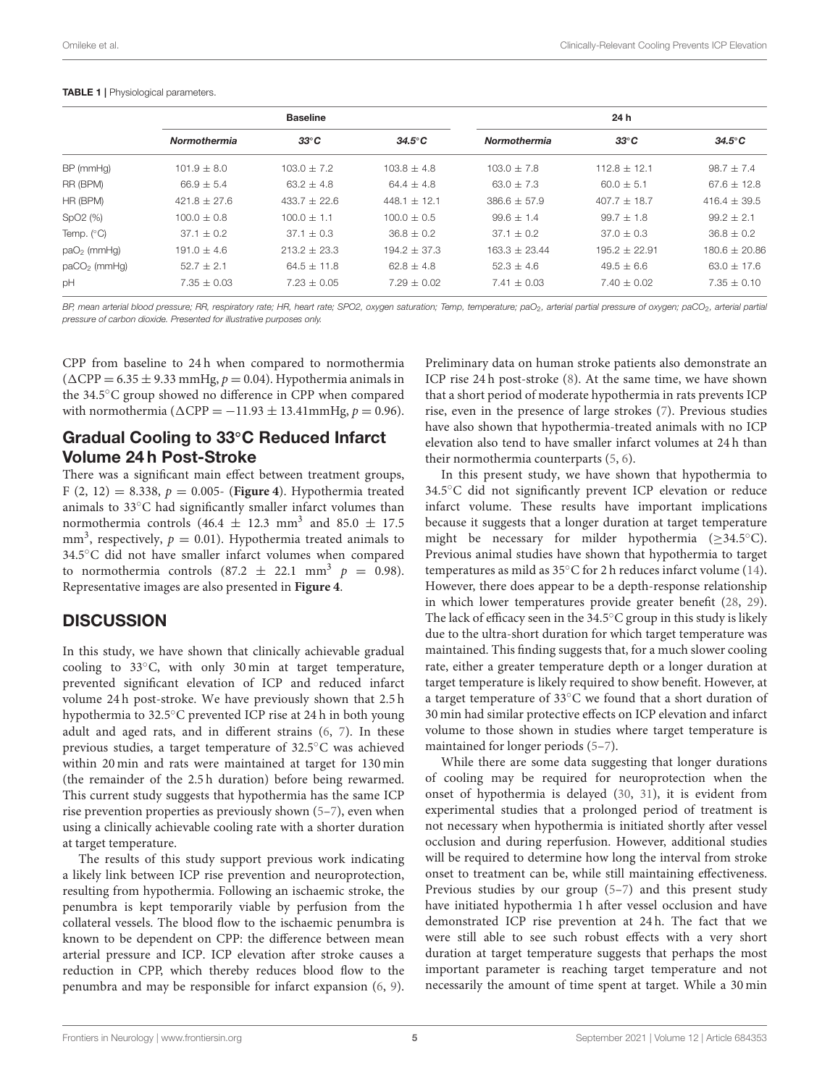#### <span id="page-4-0"></span>TABLE 1 | Physiological parameters.

|                      | <b>Baseline</b>     |                  |                  | 24 h                |                  |                  |
|----------------------|---------------------|------------------|------------------|---------------------|------------------|------------------|
|                      | <b>Normothermia</b> | $33^{\circ}$ C   | $34.5^{\circ}$ C | <b>Normothermia</b> | $33^{\circ}C$    | $34.5^{\circ}$ C |
| BP (mmHg)            | $101.9 + 8.0$       | $103.0 + 7.2$    | $103.8 + 4.8$    | $103.0 + 7.8$       | $112.8 + 12.1$   | $98.7 + 7.4$     |
| RR (BPM)             | $66.9 \pm 5.4$      | $63.2 \pm 4.8$   | $64.4 + 4.8$     | $63.0 \pm 7.3$      | $60.0 + 5.1$     | $67.6 \pm 12.8$  |
| HR (BPM)             | $421.8 \pm 27.6$    | $433.7 \pm 22.6$ | 448.1 $\pm$ 12.1 | $386.6 \pm 57.9$    | $407.7 \pm 18.7$ | $416.4 \pm 39.5$ |
| SpO <sub>2</sub> (%) | $100.0 \pm 0.8$     | $100.0 \pm 1.1$  | $100.0 \pm 0.5$  | $99.6 \pm 1.4$      | $99.7 + 1.8$     | $99.2 \pm 2.1$   |
| Temp. $(^{\circ}C)$  | $37.1 + 0.2$        | $37.1 \pm 0.3$   | $36.8 + 0.2$     | $37.1 \pm 0.2$      | $37.0 + 0.3$     | $36.8 \pm 0.2$   |
| $paO2$ (mmHg)        | $191.0 + 4.6$       | $213.2 + 23.3$   | $194.2 + 37.3$   | $163.3 \pm 23.44$   | $195.2 + 22.91$  | $180.6 + 20.86$  |
| $paCO2$ (mmHg)       | $52.7 \pm 2.1$      | $64.5 \pm 11.8$  | $62.8 + 4.8$     | $52.3 + 4.6$        | $49.5 + 6.6$     | $63.0 \pm 17.6$  |
| pH                   | $7.35 \pm 0.03$     | $7.23 \pm 0.05$  | $7.29 \pm 0.02$  | $7.41 \pm 0.03$     | $7.40 \pm 0.02$  | $7.35 \pm 0.10$  |

*BP, mean arterial blood pressure; RR, respiratory rate; HR, heart rate; SPO2, oxygen saturation; Temp, temperature; paO*2*, arterial partial pressure of oxygen; paCO*2*, arterial partial pressure of carbon dioxide. Presented for illustrative purposes only.*

CPP from baseline to 24 h when compared to normothermia  $(\Delta \text{CPP} = 6.35 \pm 9.33 \text{ mmHg}, p = 0.04)$ . Hypothermia animals in the 34.5◦C group showed no difference in CPP when compared with normothermia ( $\triangle$ CPP =  $-11.93 \pm 13.41$ mmHg,  $p = 0.96$ ).

### Gradual Cooling to 33◦C Reduced Infarct Volume 24 h Post-Stroke

There was a significant main effect between treatment groups, F (2, 12) = 8.338, p = 0.005- (**[Figure 4](#page-5-1)**). Hypothermia treated animals to 33◦C had significantly smaller infarct volumes than normothermia controls (46.4  $\pm$  12.3 mm<sup>3</sup> and 85.0  $\pm$  17.5 mm<sup>3</sup>, respectively,  $p = 0.01$ ). Hypothermia treated animals to 34.5◦C did not have smaller infarct volumes when compared to normothermia controls  $(87.2 \pm 22.1 \text{ mm}^3 \text{ p} = 0.98)$ . Representative images are also presented in **[Figure 4](#page-5-1)**.

### **DISCUSSION**

In this study, we have shown that clinically achievable gradual cooling to 33◦C, with only 30 min at target temperature, prevented significant elevation of ICP and reduced infarct volume 24 h post-stroke. We have previously shown that 2.5 h hypothermia to 32.5◦C prevented ICP rise at 24 h in both young adult and aged rats, and in different strains [\(6,](#page-7-9) [7\)](#page-7-5). In these previous studies, a target temperature of 32.5◦C was achieved within 20 min and rats were maintained at target for 130 min (the remainder of the 2.5 h duration) before being rewarmed. This current study suggests that hypothermia has the same ICP rise prevention properties as previously shown [\(5](#page-7-4)[–7\)](#page-7-5), even when using a clinically achievable cooling rate with a shorter duration at target temperature.

The results of this study support previous work indicating a likely link between ICP rise prevention and neuroprotection, resulting from hypothermia. Following an ischaemic stroke, the penumbra is kept temporarily viable by perfusion from the collateral vessels. The blood flow to the ischaemic penumbra is known to be dependent on CPP: the difference between mean arterial pressure and ICP. ICP elevation after stroke causes a reduction in CPP, which thereby reduces blood flow to the penumbra and may be responsible for infarct expansion [\(6,](#page-7-9) [9\)](#page-7-7).

Preliminary data on human stroke patients also demonstrate an ICP rise 24 h post-stroke [\(8\)](#page-7-6). At the same time, we have shown that a short period of moderate hypothermia in rats prevents ICP rise, even in the presence of large strokes [\(7\)](#page-7-5). Previous studies have also shown that hypothermia-treated animals with no ICP elevation also tend to have smaller infarct volumes at 24 h than their normothermia counterparts [\(5,](#page-7-4) [6\)](#page-7-9).

In this present study, we have shown that hypothermia to 34.5◦C did not significantly prevent ICP elevation or reduce infarct volume. These results have important implications because it suggests that a longer duration at target temperature might be necessary for milder hypothermia  $(>34.5°C)$ . Previous animal studies have shown that hypothermia to target temperatures as mild as 35◦C for 2 h reduces infarct volume [\(14\)](#page-7-13). However, there does appear to be a depth-response relationship in which lower temperatures provide greater benefit [\(28,](#page-7-27) [29\)](#page-7-28). The lack of efficacy seen in the  $34.5^{\circ}$ C group in this study is likely due to the ultra-short duration for which target temperature was maintained. This finding suggests that, for a much slower cooling rate, either a greater temperature depth or a longer duration at target temperature is likely required to show benefit. However, at a target temperature of 33◦C we found that a short duration of 30 min had similar protective effects on ICP elevation and infarct volume to those shown in studies where target temperature is maintained for longer periods [\(5–](#page-7-4)[7\)](#page-7-5).

While there are some data suggesting that longer durations of cooling may be required for neuroprotection when the onset of hypothermia is delayed [\(30,](#page-7-29) [31\)](#page-7-30), it is evident from experimental studies that a prolonged period of treatment is not necessary when hypothermia is initiated shortly after vessel occlusion and during reperfusion. However, additional studies will be required to determine how long the interval from stroke onset to treatment can be, while still maintaining effectiveness. Previous studies by our group [\(5–](#page-7-4)[7\)](#page-7-5) and this present study have initiated hypothermia 1 h after vessel occlusion and have demonstrated ICP rise prevention at 24 h. The fact that we were still able to see such robust effects with a very short duration at target temperature suggests that perhaps the most important parameter is reaching target temperature and not necessarily the amount of time spent at target. While a 30 min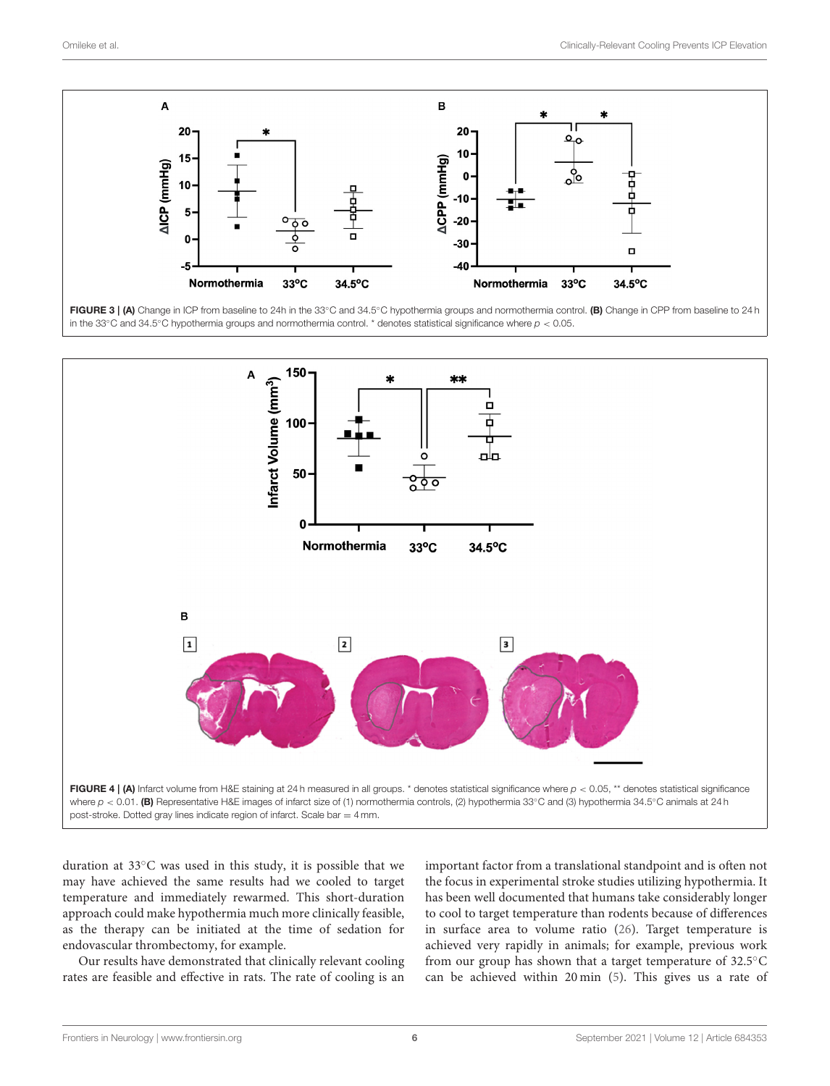

<span id="page-5-0"></span>in the 33◦C and 34.5◦C hypothermia groups and normothermia control. \* denotes statistical significance where *p* < 0.05.



<span id="page-5-1"></span>duration at 33◦C was used in this study, it is possible that we may have achieved the same results had we cooled to target temperature and immediately rewarmed. This short-duration approach could make hypothermia much more clinically feasible, as the therapy can be initiated at the time of sedation for endovascular thrombectomy, for example.

Our results have demonstrated that clinically relevant cooling rates are feasible and effective in rats. The rate of cooling is an important factor from a translational standpoint and is often not the focus in experimental stroke studies utilizing hypothermia. It has been well documented that humans take considerably longer to cool to target temperature than rodents because of differences in surface area to volume ratio [\(26\)](#page-7-25). Target temperature is achieved very rapidly in animals; for example, previous work from our group has shown that a target temperature of 32.5<sup>°</sup>C can be achieved within 20 min [\(5\)](#page-7-4). This gives us a rate of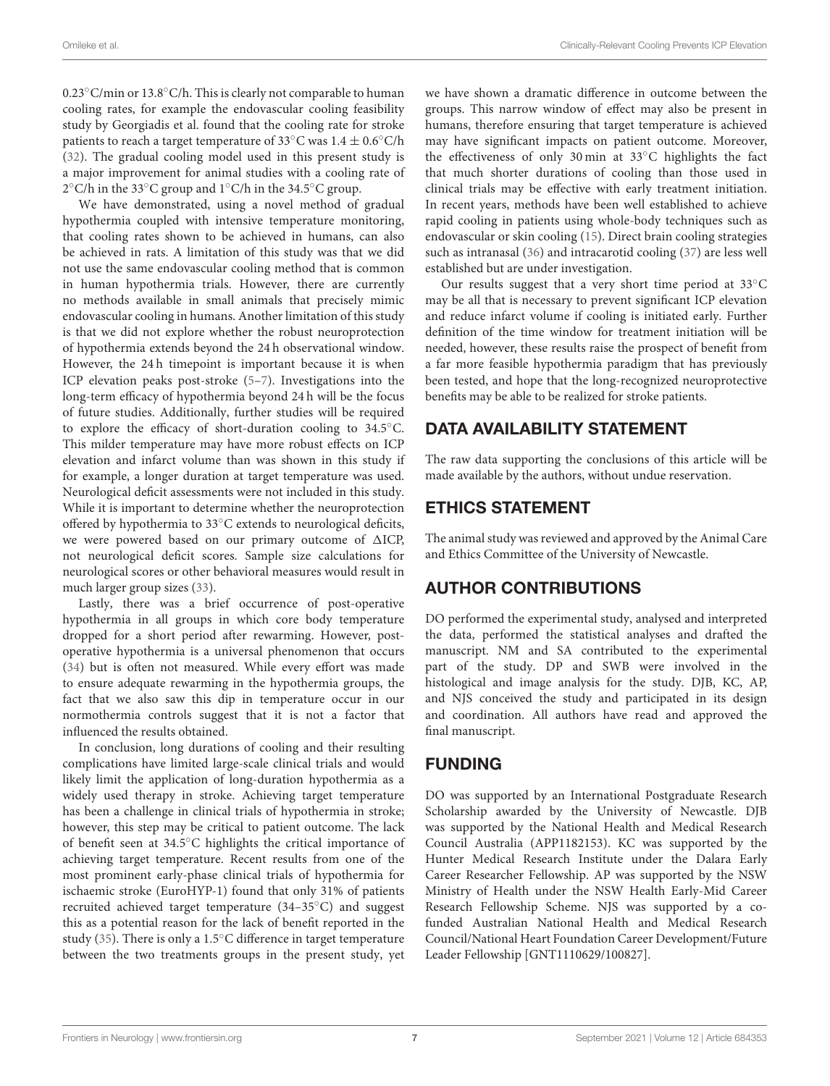0.23◦C/min or 13.8◦C/h. This is clearly not comparable to human cooling rates, for example the endovascular cooling feasibility study by Georgiadis et al. found that the cooling rate for stroke patients to reach a target temperature of 33 $\degree$ C was 1.4  $\pm$  0.6 $\degree$ C/h [\(32\)](#page-7-31). The gradual cooling model used in this present study is a major improvement for animal studies with a cooling rate of 2 ◦C/h in the 33◦C group and 1◦C/h in the 34.5◦C group.

We have demonstrated, using a novel method of gradual hypothermia coupled with intensive temperature monitoring, that cooling rates shown to be achieved in humans, can also be achieved in rats. A limitation of this study was that we did not use the same endovascular cooling method that is common in human hypothermia trials. However, there are currently no methods available in small animals that precisely mimic endovascular cooling in humans. Another limitation of this study is that we did not explore whether the robust neuroprotection of hypothermia extends beyond the 24 h observational window. However, the 24 h timepoint is important because it is when ICP elevation peaks post-stroke [\(5](#page-7-4)[–7\)](#page-7-5). Investigations into the long-term efficacy of hypothermia beyond 24 h will be the focus of future studies. Additionally, further studies will be required to explore the efficacy of short-duration cooling to 34.5◦C. This milder temperature may have more robust effects on ICP elevation and infarct volume than was shown in this study if for example, a longer duration at target temperature was used. Neurological deficit assessments were not included in this study. While it is important to determine whether the neuroprotection offered by hypothermia to 33◦C extends to neurological deficits, we were powered based on our primary outcome of  $\triangle$ ICP, not neurological deficit scores. Sample size calculations for neurological scores or other behavioral measures would result in much larger group sizes [\(33\)](#page-7-32).

Lastly, there was a brief occurrence of post-operative hypothermia in all groups in which core body temperature dropped for a short period after rewarming. However, postoperative hypothermia is a universal phenomenon that occurs [\(34\)](#page-7-33) but is often not measured. While every effort was made to ensure adequate rewarming in the hypothermia groups, the fact that we also saw this dip in temperature occur in our normothermia controls suggest that it is not a factor that influenced the results obtained.

In conclusion, long durations of cooling and their resulting complications have limited large-scale clinical trials and would likely limit the application of long-duration hypothermia as a widely used therapy in stroke. Achieving target temperature has been a challenge in clinical trials of hypothermia in stroke; however, this step may be critical to patient outcome. The lack of benefit seen at 34.5◦C highlights the critical importance of achieving target temperature. Recent results from one of the most prominent early-phase clinical trials of hypothermia for ischaemic stroke (EuroHYP-1) found that only 31% of patients recruited achieved target temperature (34–35◦C) and suggest this as a potential reason for the lack of benefit reported in the study [\(35\)](#page-8-0). There is only a 1.5◦C difference in target temperature between the two treatments groups in the present study, yet we have shown a dramatic difference in outcome between the groups. This narrow window of effect may also be present in humans, therefore ensuring that target temperature is achieved may have significant impacts on patient outcome. Moreover, the effectiveness of only 30 min at 33◦C highlights the fact that much shorter durations of cooling than those used in clinical trials may be effective with early treatment initiation. In recent years, methods have been well established to achieve rapid cooling in patients using whole-body techniques such as endovascular or skin cooling [\(15\)](#page-7-14). Direct brain cooling strategies such as intranasal [\(36\)](#page-8-1) and intracarotid cooling [\(37\)](#page-8-2) are less well established but are under investigation.

Our results suggest that a very short time period at 33◦C may be all that is necessary to prevent significant ICP elevation and reduce infarct volume if cooling is initiated early. Further definition of the time window for treatment initiation will be needed, however, these results raise the prospect of benefit from a far more feasible hypothermia paradigm that has previously been tested, and hope that the long-recognized neuroprotective benefits may be able to be realized for stroke patients.

# DATA AVAILABILITY STATEMENT

The raw data supporting the conclusions of this article will be made available by the authors, without undue reservation.

# ETHICS STATEMENT

The animal study was reviewed and approved by the Animal Care and Ethics Committee of the University of Newcastle.

# AUTHOR CONTRIBUTIONS

DO performed the experimental study, analysed and interpreted the data, performed the statistical analyses and drafted the manuscript. NM and SA contributed to the experimental part of the study. DP and SWB were involved in the histological and image analysis for the study. DJB, KC, AP, and NJS conceived the study and participated in its design and coordination. All authors have read and approved the final manuscript.

# FUNDING

DO was supported by an International Postgraduate Research Scholarship awarded by the University of Newcastle. DJB was supported by the National Health and Medical Research Council Australia (APP1182153). KC was supported by the Hunter Medical Research Institute under the Dalara Early Career Researcher Fellowship. AP was supported by the NSW Ministry of Health under the NSW Health Early-Mid Career Research Fellowship Scheme. NJS was supported by a cofunded Australian National Health and Medical Research Council/National Heart Foundation Career Development/Future Leader Fellowship [GNT1110629/100827].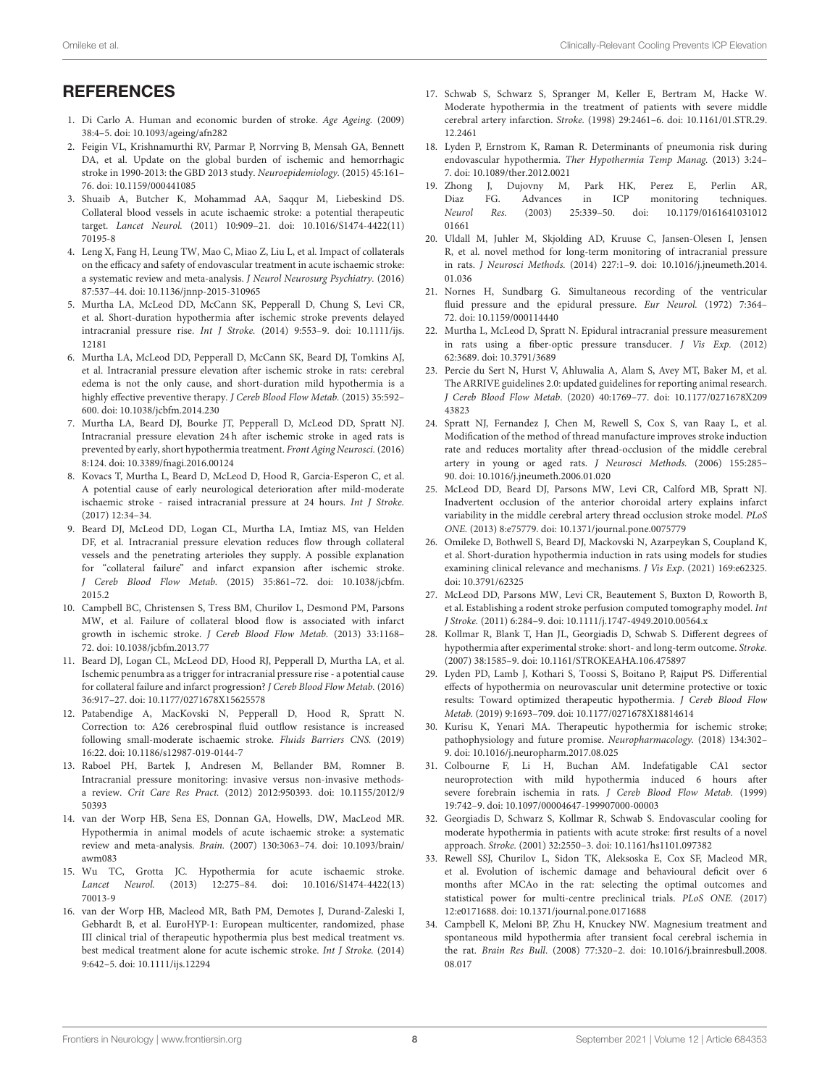# **REFERENCES**

- <span id="page-7-0"></span>1. Di Carlo A. Human and economic burden of stroke. Age Ageing. (2009) 38:4–5. doi: [10.1093/ageing/afn282](https://doi.org/10.1093/ageing/afn282)
- <span id="page-7-1"></span>2. Feigin VL, Krishnamurthi RV, Parmar P, Norrving B, Mensah GA, Bennett DA, et al. Update on the global burden of ischemic and hemorrhagic stroke in 1990-2013: the GBD 2013 study. Neuroepidemiology. (2015) 45:161– 76. doi: [10.1159/000441085](https://doi.org/10.1159/000441085)
- <span id="page-7-2"></span>3. Shuaib A, Butcher K, Mohammad AA, Saqqur M, Liebeskind DS. Collateral blood vessels in acute ischaemic stroke: a potential therapeutic target. Lancet Neurol. [\(2011\) 10:909–21. doi: 10.1016/S1474-4422\(11\)](https://doi.org/10.1016/S1474-4422(11)70195-8) 70195-8
- <span id="page-7-3"></span>4. Leng X, Fang H, Leung TW, Mao C, Miao Z, Liu L, et al. Impact of collaterals on the efficacy and safety of endovascular treatment in acute ischaemic stroke: a systematic review and meta-analysis. J Neurol Neurosurg Psychiatry. (2016) 87:537–44. doi: [10.1136/jnnp-2015-310965](https://doi.org/10.1136/jnnp-2015-310965)
- <span id="page-7-4"></span>5. Murtha LA, McLeod DD, McCann SK, Pepperall D, Chung S, Levi CR, et al. Short-duration hypothermia after ischemic stroke prevents delayed intracranial pressure rise. Int J Stroke. [\(2014\) 9:553–9. doi: 10.1111/ijs.](https://doi.org/10.1111/ijs.12181) 12181
- <span id="page-7-9"></span>6. Murtha LA, McLeod DD, Pepperall D, McCann SK, Beard DJ, Tomkins AJ, et al. Intracranial pressure elevation after ischemic stroke in rats: cerebral edema is not the only cause, and short-duration mild hypothermia is a highly effective preventive therapy. J Cereb Blood Flow Metab. (2015) 35:592– 600. doi: [10.1038/jcbfm.2014.230](https://doi.org/10.1038/jcbfm.2014.230)
- <span id="page-7-5"></span>7. Murtha LA, Beard DJ, Bourke JT, Pepperall D, McLeod DD, Spratt NJ. Intracranial pressure elevation 24 h after ischemic stroke in aged rats is prevented by early, short hypothermia treatment. Front Aging Neurosci. (2016) 8:124. doi: [10.3389/fnagi.2016.00124](https://doi.org/10.3389/fnagi.2016.00124)
- <span id="page-7-6"></span>8. Kovacs T, Murtha L, Beard D, McLeod D, Hood R, Garcia-Esperon C, et al. A potential cause of early neurological deterioration after mild-moderate ischaemic stroke - raised intracranial pressure at 24 hours. Int J Stroke. (2017) 12:34–34.
- <span id="page-7-7"></span>9. Beard DJ, McLeod DD, Logan CL, Murtha LA, Imtiaz MS, van Helden DF, et al. Intracranial pressure elevation reduces flow through collateral vessels and the penetrating arterioles they supply. A possible explanation for "collateral failure" and infarct expansion after ischemic stroke. J Cereb Blood Flow Metab. [\(2015\) 35:861–72. doi: 10.1038/jcbfm.](https://doi.org/10.1038/jcbfm.2015.2) 2015.2
- <span id="page-7-8"></span>10. Campbell BC, Christensen S, Tress BM, Churilov L, Desmond PM, Parsons MW, et al. Failure of collateral blood flow is associated with infarct growth in ischemic stroke. J Cereb Blood Flow Metab. (2013) 33:1168– 72. doi: [10.1038/jcbfm.2013.77](https://doi.org/10.1038/jcbfm.2013.77)
- <span id="page-7-10"></span>11. Beard DJ, Logan CL, McLeod DD, Hood RJ, Pepperall D, Murtha LA, et al. Ischemic penumbra as a trigger for intracranial pressure rise - a potential cause for collateral failure and infarct progression? J Cereb Blood Flow Metab. (2016) 36:917–27. doi: [10.1177/0271678X15625578](https://doi.org/10.1177/0271678X15625578)
- <span id="page-7-11"></span>12. Patabendige A, MacKovski N, Pepperall D, Hood R, Spratt N. Correction to: A26 cerebrospinal fluid outflow resistance is increased following small-moderate ischaemic stroke. Fluids Barriers CNS. (2019) 16:22. doi: [10.1186/s12987-019-0144-7](https://doi.org/10.1186/s12987-019-0144-7)
- <span id="page-7-12"></span>13. Raboel PH, Bartek J, Andresen M, Bellander BM, Romner B. Intracranial pressure monitoring: invasive versus non-invasive methodsa review. Crit Care Res Pract. [\(2012\) 2012:950393. doi: 10.1155/2012/9](https://doi.org/10.1155/2012/950393) 50393
- <span id="page-7-13"></span>14. van der Worp HB, Sena ES, Donnan GA, Howells, DW, MacLeod MR. Hypothermia in animal models of acute ischaemic stroke: a systematic review and meta-analysis. Brain. [\(2007\) 130:3063–74. doi: 10.1093/brain/](https://doi.org/10.1093/brain/awm083) awm083
- <span id="page-7-14"></span>15. Wu TC, Grotta JC. Hypothermia for acute ischaemic stroke. Lancet Neurol. [\(2013\) 12:275–84. doi: 10.1016/S1474-4422\(13\)](https://doi.org/10.1016/S1474-4422(13)70013-9) 70013-9
- <span id="page-7-15"></span>16. van der Worp HB, Macleod MR, Bath PM, Demotes J, Durand-Zaleski I, Gebhardt B, et al. EuroHYP-1: European multicenter, randomized, phase III clinical trial of therapeutic hypothermia plus best medical treatment vs. best medical treatment alone for acute ischemic stroke. Int J Stroke. (2014) 9:642–5. doi: [10.1111/ijs.12294](https://doi.org/10.1111/ijs.12294)
- <span id="page-7-16"></span>17. Schwab S, Schwarz S, Spranger M, Keller E, Bertram M, Hacke W. Moderate hypothermia in the treatment of patients with severe middle cerebral artery infarction. Stroke. [\(1998\) 29:2461–6. doi: 10.1161/01.STR.29.](https://doi.org/10.1161/01.STR.29.12.2461) 12.2461
- <span id="page-7-17"></span>18. Lyden P, Ernstrom K, Raman R. Determinants of pneumonia risk during endovascular hypothermia. Ther Hypothermia Temp Manag. (2013) 3:24– 7. doi: [10.1089/ther.2012.0021](https://doi.org/10.1089/ther.2012.0021)
- <span id="page-7-18"></span>19. Zhong J, Dujovny M, Park HK, Perez E, Perlin AR,<br>Diaz FG. Advances in ICP monitoring techniques. Diaz FG. Advances in ICP monitoring techniques. Neurol Res. [\(2003\) 25:339–50. doi: 10.1179/0161641031012](https://doi.org/10.1179/016164103101201661) 01661
- <span id="page-7-19"></span>20. Uldall M, Juhler M, Skjolding AD, Kruuse C, Jansen-Olesen I, Jensen R, et al. novel method for long-term monitoring of intracranial pressure in rats. J Neurosci Methods. [\(2014\) 227:1–9. doi: 10.1016/j.jneumeth.2014.](https://doi.org/10.1016/j.jneumeth.2014.01.036) 01.036
- <span id="page-7-20"></span>21. Nornes H, Sundbarg G. Simultaneous recording of the ventricular fluid pressure and the epidural pressure. Eur Neurol. (1972) 7:364– 72. doi: [10.1159/000114440](https://doi.org/10.1159/000114440)
- <span id="page-7-21"></span>22. Murtha L, McLeod D, Spratt N. Epidural intracranial pressure measurement in rats using a fiber-optic pressure transducer. J Vis Exp. (2012) 62:3689. doi: [10.3791/3689](https://doi.org/10.3791/3689)
- <span id="page-7-22"></span>23. Percie du Sert N, Hurst V, Ahluwalia A, Alam S, Avey MT, Baker M, et al. The ARRIVE guidelines 2.0: updated guidelines for reporting animal research. J Cereb Blood Flow Metab[. \(2020\) 40:1769–77. doi: 10.1177/0271678X209](https://doi.org/10.1177/0271678X20943823) 43823
- <span id="page-7-23"></span>24. Spratt NJ, Fernandez J, Chen M, Rewell S, Cox S, van Raay L, et al. Modification of the method of thread manufacture improves stroke induction rate and reduces mortality after thread-occlusion of the middle cerebral artery in young or aged rats. J Neurosci Methods. (2006) 155:285– 90. doi: [10.1016/j.jneumeth.2006.01.020](https://doi.org/10.1016/j.jneumeth.2006.01.020)
- <span id="page-7-24"></span>25. McLeod DD, Beard DJ, Parsons MW, Levi CR, Calford MB, Spratt NJ. Inadvertent occlusion of the anterior choroidal artery explains infarct variability in the middle cerebral artery thread occlusion stroke model. PLoS ONE. (2013) 8:e75779. doi: [10.1371/journal.pone.0075779](https://doi.org/10.1371/journal.pone.0075779)
- <span id="page-7-25"></span>26. Omileke D, Bothwell S, Beard DJ, Mackovski N, Azarpeykan S, Coupland K, et al. Short-duration hypothermia induction in rats using models for studies examining clinical relevance and mechanisms. J Vis Exp. (2021) 169:e62325. doi: [10.3791/62325](https://doi.org/10.3791/62325)
- <span id="page-7-26"></span>27. McLeod DD, Parsons MW, Levi CR, Beautement S, Buxton D, Roworth B, et al. Establishing a rodent stroke perfusion computed tomography model. Int J Stroke. (2011) 6:284–9. doi: [10.1111/j.1747-4949.2010.00564.x](https://doi.org/10.1111/j.1747-4949.2010.00564.x)
- <span id="page-7-27"></span>28. Kollmar R, Blank T, Han JL, Georgiadis D, Schwab S. Different degrees of hypothermia after experimental stroke: short- and long-term outcome. Stroke. (2007) 38:1585–9. doi: [10.1161/STROKEAHA.106.475897](https://doi.org/10.1161/STROKEAHA.106.475897)
- <span id="page-7-28"></span>29. Lyden PD, Lamb J, Kothari S, Toossi S, Boitano P, Rajput PS. Differential effects of hypothermia on neurovascular unit determine protective or toxic results: Toward optimized therapeutic hypothermia. J Cereb Blood Flow Metab. (2019) 9:1693–709. doi: [10.1177/0271678X18814614](https://doi.org/10.1177/0271678X18814614)
- <span id="page-7-29"></span>30. Kurisu K, Yenari MA. Therapeutic hypothermia for ischemic stroke; pathophysiology and future promise. Neuropharmacology. (2018) 134:302– 9. doi: [10.1016/j.neuropharm.2017.08.025](https://doi.org/10.1016/j.neuropharm.2017.08.025)
- <span id="page-7-30"></span>31. Colbourne F, Li H, Buchan AM. Indefatigable CA1 sector neuroprotection with mild hypothermia induced 6 hours after severe forebrain ischemia in rats. J Cereb Blood Flow Metab. (1999) 19:742–9. doi: [10.1097/00004647-199907000-00003](https://doi.org/10.1097/00004647-199907000-00003)
- <span id="page-7-31"></span>32. Georgiadis D, Schwarz S, Kollmar R, Schwab S. Endovascular cooling for moderate hypothermia in patients with acute stroke: first results of a novel approach. Stroke. (2001) 32:2550–3. doi: [10.1161/hs1101.097382](https://doi.org/10.1161/hs1101.097382)
- <span id="page-7-32"></span>33. Rewell SSJ, Churilov L, Sidon TK, Aleksoska E, Cox SF, Macleod MR, et al. Evolution of ischemic damage and behavioural deficit over 6 months after MCAo in the rat: selecting the optimal outcomes and statistical power for multi-centre preclinical trials. PLoS ONE. (2017) 12:e0171688. doi: [10.1371/journal.pone.0171688](https://doi.org/10.1371/journal.pone.0171688)
- <span id="page-7-33"></span>34. Campbell K, Meloni BP, Zhu H, Knuckey NW. Magnesium treatment and spontaneous mild hypothermia after transient focal cerebral ischemia in the rat. Brain Res Bull[. \(2008\) 77:320–2. doi: 10.1016/j.brainresbull.2008.](https://doi.org/10.1016/j.brainresbull.2008.08.017) 08.017